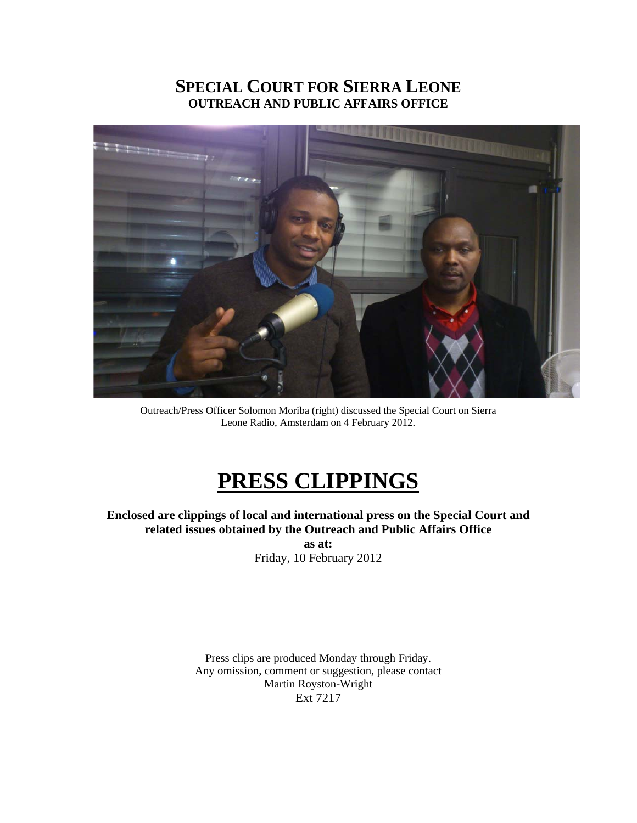## **SPECIAL COURT FOR SIERRA LEONE OUTREACH AND PUBLIC AFFAIRS OFFICE**



Outreach/Press Officer Solomon Moriba (right) discussed the Special Court on Sierra Leone Radio, Amsterdam on 4 February 2012.

# **PRESS CLIPPINGS**

**Enclosed are clippings of local and international press on the Special Court and related issues obtained by the Outreach and Public Affairs Office as at:**  Friday, 10 February 2012

> Press clips are produced Monday through Friday. Any omission, comment or suggestion, please contact Martin Royston-Wright Ext 7217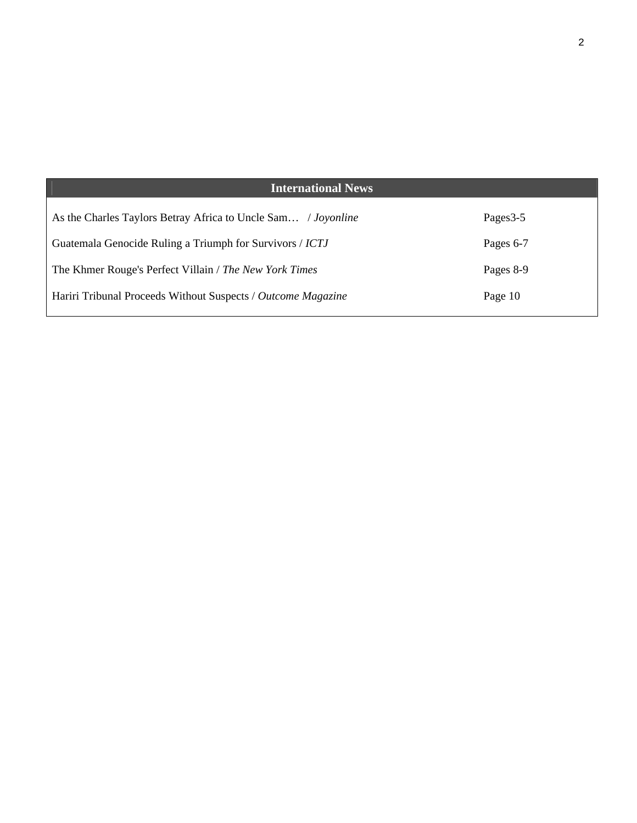| International News                                            |           |
|---------------------------------------------------------------|-----------|
| As the Charles Taylors Betray Africa to Uncle Sam / Joyonline | Pages 3-5 |
| Guatemala Genocide Ruling a Triumph for Survivors / ICTJ      | Pages 6-7 |
| The Khmer Rouge's Perfect Villain / The New York Times        | Pages 8-9 |
| Hariri Tribunal Proceeds Without Suspects / Outcome Magazine  | Page 10   |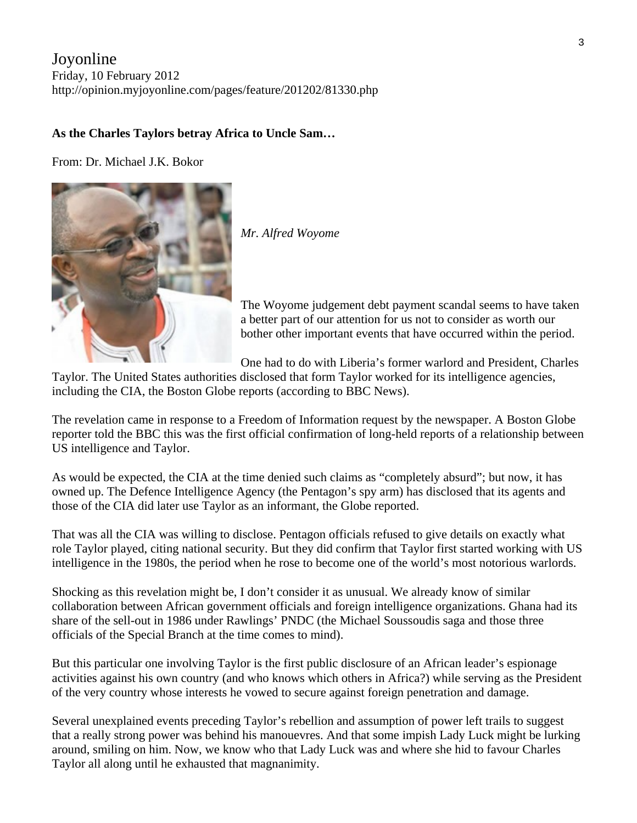Joyonline Friday, 10 February 2012 http://opinion.myjoyonline.com/pages/feature/201202/81330.php

#### **As the Charles Taylors betray Africa to Uncle Sam…**

From: Dr. Michael J.K. Bokor



*Mr. Alfred Woyome* 

The Woyome judgement debt payment scandal seems to have taken a better part of our attention for us not to consider as worth our bother other important events that have occurred within the period.

One had to do with Liberia's former warlord and President, Charles

Taylor. The United States authorities disclosed that form Taylor worked for its intelligence agencies, including the CIA, the Boston Globe reports (according to BBC News).

The revelation came in response to a Freedom of Information request by the newspaper. A Boston Globe reporter told the BBC this was the first official confirmation of long-held reports of a relationship between US intelligence and Taylor.

As would be expected, the CIA at the time denied such claims as "completely absurd"; but now, it has owned up. The Defence Intelligence Agency (the Pentagon's spy arm) has disclosed that its agents and those of the CIA did later use Taylor as an informant, the Globe reported.

That was all the CIA was willing to disclose. Pentagon officials refused to give details on exactly what role Taylor played, citing national security. But they did confirm that Taylor first started working with US intelligence in the 1980s, the period when he rose to become one of the world's most notorious warlords.

Shocking as this revelation might be, I don't consider it as unusual. We already know of similar collaboration between African government officials and foreign intelligence organizations. Ghana had its share of the sell-out in 1986 under Rawlings' PNDC (the Michael Soussoudis saga and those three officials of the Special Branch at the time comes to mind).

But this particular one involving Taylor is the first public disclosure of an African leader's espionage activities against his own country (and who knows which others in Africa?) while serving as the President of the very country whose interests he vowed to secure against foreign penetration and damage.

Several unexplained events preceding Taylor's rebellion and assumption of power left trails to suggest that a really strong power was behind his manouevres. And that some impish Lady Luck might be lurking around, smiling on him. Now, we know who that Lady Luck was and where she hid to favour Charles Taylor all along until he exhausted that magnanimity.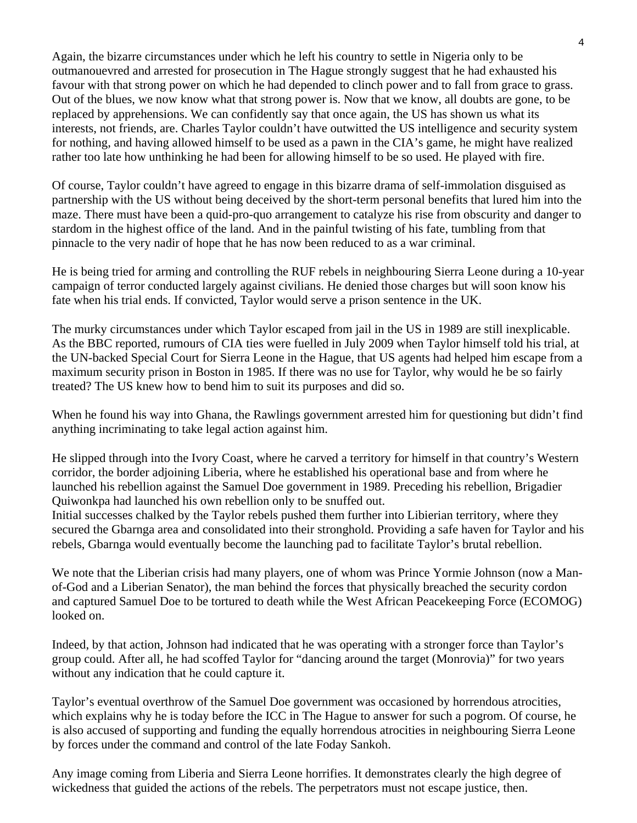Again, the bizarre circumstances under which he left his country to settle in Nigeria only to be outmanouevred and arrested for prosecution in The Hague strongly suggest that he had exhausted his favour with that strong power on which he had depended to clinch power and to fall from grace to grass. Out of the blues, we now know what that strong power is. Now that we know, all doubts are gone, to be replaced by apprehensions. We can confidently say that once again, the US has shown us what its interests, not friends, are. Charles Taylor couldn't have outwitted the US intelligence and security system for nothing, and having allowed himself to be used as a pawn in the CIA's game, he might have realized rather too late how unthinking he had been for allowing himself to be so used. He played with fire.

Of course, Taylor couldn't have agreed to engage in this bizarre drama of self-immolation disguised as partnership with the US without being deceived by the short-term personal benefits that lured him into the maze. There must have been a quid-pro-quo arrangement to catalyze his rise from obscurity and danger to stardom in the highest office of the land. And in the painful twisting of his fate, tumbling from that pinnacle to the very nadir of hope that he has now been reduced to as a war criminal.

He is being tried for arming and controlling the RUF rebels in neighbouring Sierra Leone during a 10-year campaign of terror conducted largely against civilians. He denied those charges but will soon know his fate when his trial ends. If convicted, Taylor would serve a prison sentence in the UK.

The murky circumstances under which Taylor escaped from jail in the US in 1989 are still inexplicable. As the BBC reported, rumours of CIA ties were fuelled in July 2009 when Taylor himself told his trial, at the UN-backed Special Court for Sierra Leone in the Hague, that US agents had helped him escape from a maximum security prison in Boston in 1985. If there was no use for Taylor, why would he be so fairly treated? The US knew how to bend him to suit its purposes and did so.

When he found his way into Ghana, the Rawlings government arrested him for questioning but didn't find anything incriminating to take legal action against him.

He slipped through into the Ivory Coast, where he carved a territory for himself in that country's Western corridor, the border adjoining Liberia, where he established his operational base and from where he launched his rebellion against the Samuel Doe government in 1989. Preceding his rebellion, Brigadier Quiwonkpa had launched his own rebellion only to be snuffed out.

Initial successes chalked by the Taylor rebels pushed them further into Libierian territory, where they secured the Gbarnga area and consolidated into their stronghold. Providing a safe haven for Taylor and his rebels, Gbarnga would eventually become the launching pad to facilitate Taylor's brutal rebellion.

We note that the Liberian crisis had many players, one of whom was Prince Yormie Johnson (now a Manof-God and a Liberian Senator), the man behind the forces that physically breached the security cordon and captured Samuel Doe to be tortured to death while the West African Peacekeeping Force (ECOMOG) looked on.

Indeed, by that action, Johnson had indicated that he was operating with a stronger force than Taylor's group could. After all, he had scoffed Taylor for "dancing around the target (Monrovia)" for two years without any indication that he could capture it.

Taylor's eventual overthrow of the Samuel Doe government was occasioned by horrendous atrocities, which explains why he is today before the ICC in The Hague to answer for such a pogrom. Of course, he is also accused of supporting and funding the equally horrendous atrocities in neighbouring Sierra Leone by forces under the command and control of the late Foday Sankoh.

Any image coming from Liberia and Sierra Leone horrifies. It demonstrates clearly the high degree of wickedness that guided the actions of the rebels. The perpetrators must not escape justice, then.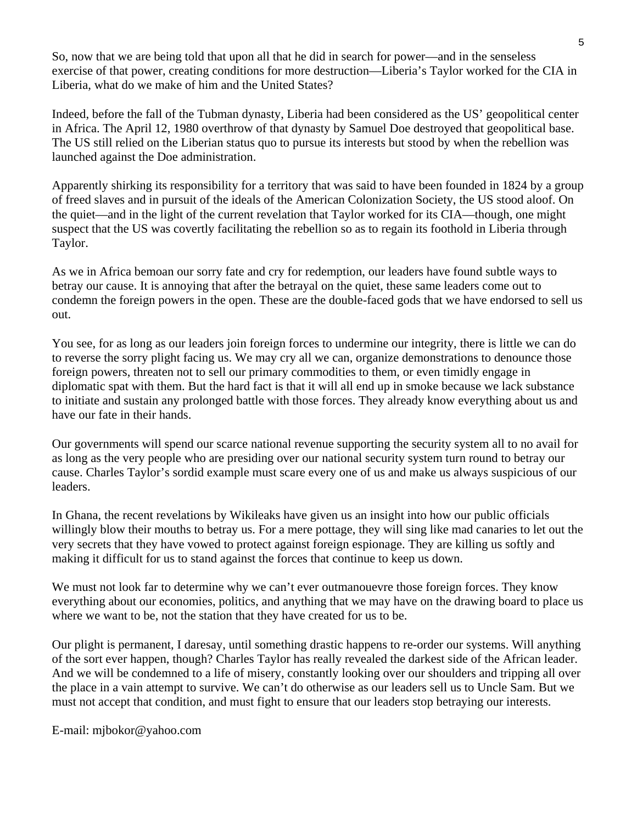So, now that we are being told that upon all that he did in search for power—and in the senseless exercise of that power, creating conditions for more destruction—Liberia's Taylor worked for the CIA in Liberia, what do we make of him and the United States?

Indeed, before the fall of the Tubman dynasty, Liberia had been considered as the US' geopolitical center in Africa. The April 12, 1980 overthrow of that dynasty by Samuel Doe destroyed that geopolitical base. The US still relied on the Liberian status quo to pursue its interests but stood by when the rebellion was launched against the Doe administration.

Apparently shirking its responsibility for a territory that was said to have been founded in 1824 by a group of freed slaves and in pursuit of the ideals of the American Colonization Society, the US stood aloof. On the quiet—and in the light of the current revelation that Taylor worked for its CIA—though, one might suspect that the US was covertly facilitating the rebellion so as to regain its foothold in Liberia through Taylor.

As we in Africa bemoan our sorry fate and cry for redemption, our leaders have found subtle ways to betray our cause. It is annoying that after the betrayal on the quiet, these same leaders come out to condemn the foreign powers in the open. These are the double-faced gods that we have endorsed to sell us out.

You see, for as long as our leaders join foreign forces to undermine our integrity, there is little we can do to reverse the sorry plight facing us. We may cry all we can, organize demonstrations to denounce those foreign powers, threaten not to sell our primary commodities to them, or even timidly engage in diplomatic spat with them. But the hard fact is that it will all end up in smoke because we lack substance to initiate and sustain any prolonged battle with those forces. They already know everything about us and have our fate in their hands.

Our governments will spend our scarce national revenue supporting the security system all to no avail for as long as the very people who are presiding over our national security system turn round to betray our cause. Charles Taylor's sordid example must scare every one of us and make us always suspicious of our leaders.

In Ghana, the recent revelations by Wikileaks have given us an insight into how our public officials willingly blow their mouths to betray us. For a mere pottage, they will sing like mad canaries to let out the very secrets that they have vowed to protect against foreign espionage. They are killing us softly and making it difficult for us to stand against the forces that continue to keep us down.

We must not look far to determine why we can't ever outmanouevre those foreign forces. They know everything about our economies, politics, and anything that we may have on the drawing board to place us where we want to be, not the station that they have created for us to be.

Our plight is permanent, I daresay, until something drastic happens to re-order our systems. Will anything of the sort ever happen, though? Charles Taylor has really revealed the darkest side of the African leader. And we will be condemned to a life of misery, constantly looking over our shoulders and tripping all over the place in a vain attempt to survive. We can't do otherwise as our leaders sell us to Uncle Sam. But we must not accept that condition, and must fight to ensure that our leaders stop betraying our interests.

E-mail: mjbokor@yahoo.com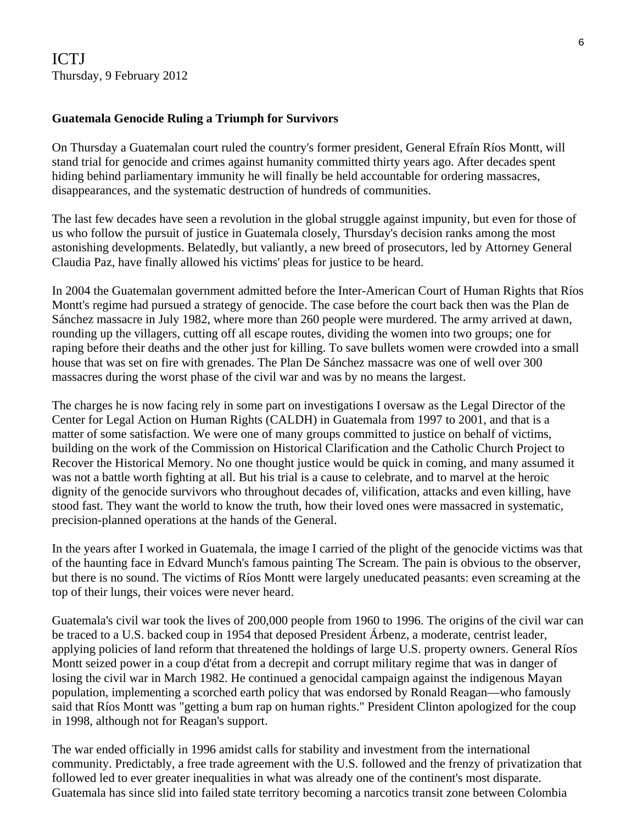### **Guatemala Genocide Ruling a Triumph for Survivors**

On Thursday a Guatemalan court ruled the country's former president, General Efraín Ríos Montt, will stand trial for genocide and crimes against humanity committed thirty years ago. After decades spent hiding behind parliamentary immunity he will finally be held accountable for ordering massacres, disappearances, and the systematic destruction of hundreds of communities.

The last few decades have seen a revolution in the global struggle against impunity, but even for those of us who follow the pursuit of justice in Guatemala closely, Thursday's decision ranks among the most astonishing developments. Belatedly, but valiantly, a new breed of prosecutors, led by Attorney General Claudia Paz, have finally allowed his victims' pleas for justice to be heard.

In 2004 the Guatemalan government admitted before the Inter-American Court of Human Rights that Ríos Montt's regime had pursued a strategy of genocide. The case before the court back then was the Plan de Sánchez massacre in July 1982, where more than 260 people were murdered. The army arrived at dawn, rounding up the villagers, cutting off all escape routes, dividing the women into two groups; one for raping before their deaths and the other just for killing. To save bullets women were crowded into a small house that was set on fire with grenades. The Plan De Sánchez massacre was one of well over 300 massacres during the worst phase of the civil war and was by no means the largest.

The charges he is now facing rely in some part on investigations I oversaw as the Legal Director of the Center for Legal Action on Human Rights (CALDH) in Guatemala from 1997 to 2001, and that is a matter of some satisfaction. We were one of many groups committed to justice on behalf of victims, building on the work of the Commission on Historical Clarification and the Catholic Church Project to Recover the Historical Memory. No one thought justice would be quick in coming, and many assumed it was not a battle worth fighting at all. But his trial is a cause to celebrate, and to marvel at the heroic dignity of the genocide survivors who throughout decades of, vilification, attacks and even killing, have stood fast. They want the world to know the truth, how their loved ones were massacred in systematic, precision-planned operations at the hands of the General.

In the years after I worked in Guatemala, the image I carried of the plight of the genocide victims was that of the haunting face in Edvard Munch's famous painting The Scream. The pain is obvious to the observer, but there is no sound. The victims of Ríos Montt were largely uneducated peasants: even screaming at the top of their lungs, their voices were never heard.

Guatemala's civil war took the lives of 200,000 people from 1960 to 1996. The origins of the civil war can be traced to a U.S. backed coup in 1954 that deposed President Árbenz, a moderate, centrist leader, applying policies of land reform that threatened the holdings of large U.S. property owners. General Ríos Montt seized power in a coup d'état from a decrepit and corrupt military regime that was in danger of losing the civil war in March 1982. He continued a genocidal campaign against the indigenous Mayan population, implementing a scorched earth policy that was endorsed by Ronald Reagan—who famously said that Ríos Montt was "getting a bum rap on human rights." President Clinton apologized for the coup in 1998, although not for Reagan's support.

The war ended officially in 1996 amidst calls for stability and investment from the international community. Predictably, a free trade agreement with the U.S. followed and the frenzy of privatization that followed led to ever greater inequalities in what was already one of the continent's most disparate. Guatemala has since slid into failed state territory becoming a narcotics transit zone between Colombia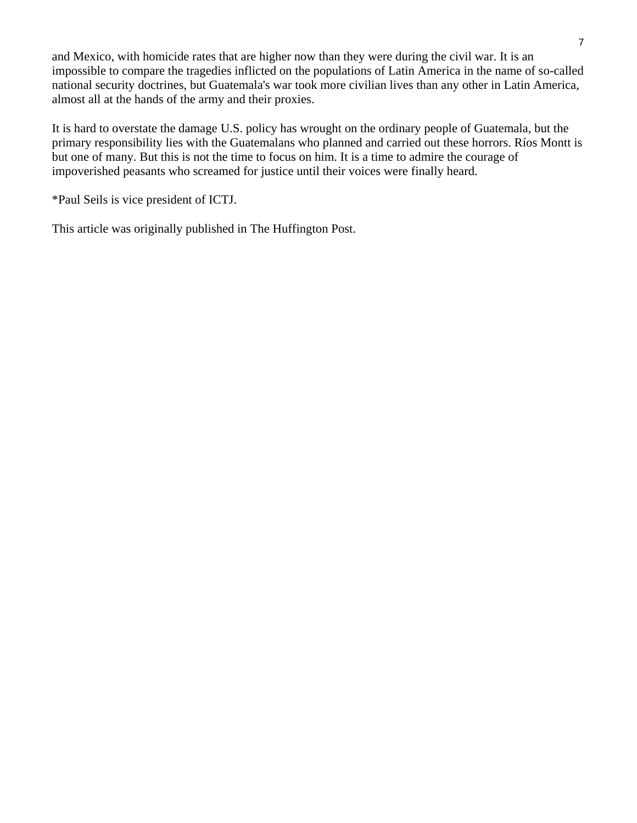and Mexico, with homicide rates that are higher now than they were during the civil war. It is an impossible to compare the tragedies inflicted on the populations of Latin America in the name of so-called national security doctrines, but Guatemala's war took more civilian lives than any other in Latin America, almost all at the hands of the army and their proxies.

It is hard to overstate the damage U.S. policy has wrought on the ordinary people of Guatemala, but the primary responsibility lies with the Guatemalans who planned and carried out these horrors. Ríos Montt is but one of many. But this is not the time to focus on him. It is a time to admire the courage of impoverished peasants who screamed for justice until their voices were finally heard.

\*Paul Seils is vice president of ICTJ.

This article was originally published in The Huffington Post.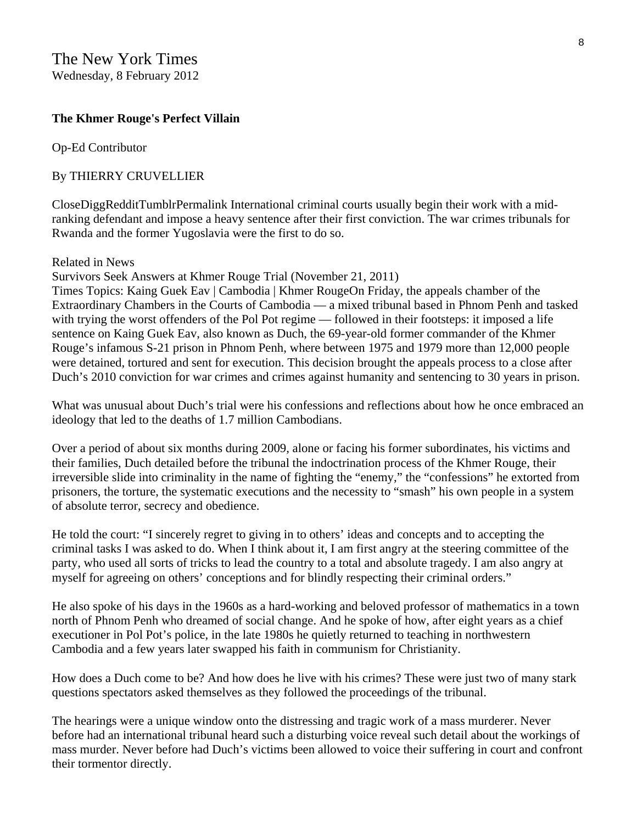### **The Khmer Rouge's Perfect Villain**

#### Op-Ed Contributor

#### By THIERRY CRUVELLIER

CloseDiggRedditTumblrPermalink International criminal courts usually begin their work with a midranking defendant and impose a heavy sentence after their first conviction. The war crimes tribunals for Rwanda and the former Yugoslavia were the first to do so.

Related in News

Survivors Seek Answers at Khmer Rouge Trial (November 21, 2011)

Times Topics: Kaing Guek Eav | Cambodia | Khmer RougeOn Friday, the appeals chamber of the Extraordinary Chambers in the Courts of Cambodia — a mixed tribunal based in Phnom Penh and tasked with trying the worst offenders of the Pol Pot regime — followed in their footsteps: it imposed a life sentence on Kaing Guek Eav, also known as Duch, the 69-year-old former commander of the Khmer Rouge's infamous S-21 prison in Phnom Penh, where between 1975 and 1979 more than 12,000 people were detained, tortured and sent for execution. This decision brought the appeals process to a close after Duch's 2010 conviction for war crimes and crimes against humanity and sentencing to 30 years in prison.

What was unusual about Duch's trial were his confessions and reflections about how he once embraced an ideology that led to the deaths of 1.7 million Cambodians.

Over a period of about six months during 2009, alone or facing his former subordinates, his victims and their families, Duch detailed before the tribunal the indoctrination process of the Khmer Rouge, their irreversible slide into criminality in the name of fighting the "enemy," the "confessions" he extorted from prisoners, the torture, the systematic executions and the necessity to "smash" his own people in a system of absolute terror, secrecy and obedience.

He told the court: "I sincerely regret to giving in to others' ideas and concepts and to accepting the criminal tasks I was asked to do. When I think about it, I am first angry at the steering committee of the party, who used all sorts of tricks to lead the country to a total and absolute tragedy. I am also angry at myself for agreeing on others' conceptions and for blindly respecting their criminal orders."

He also spoke of his days in the 1960s as a hard-working and beloved professor of mathematics in a town north of Phnom Penh who dreamed of social change. And he spoke of how, after eight years as a chief executioner in Pol Pot's police, in the late 1980s he quietly returned to teaching in northwestern Cambodia and a few years later swapped his faith in communism for Christianity.

How does a Duch come to be? And how does he live with his crimes? These were just two of many stark questions spectators asked themselves as they followed the proceedings of the tribunal.

The hearings were a unique window onto the distressing and tragic work of a mass murderer. Never before had an international tribunal heard such a disturbing voice reveal such detail about the workings of mass murder. Never before had Duch's victims been allowed to voice their suffering in court and confront their tormentor directly.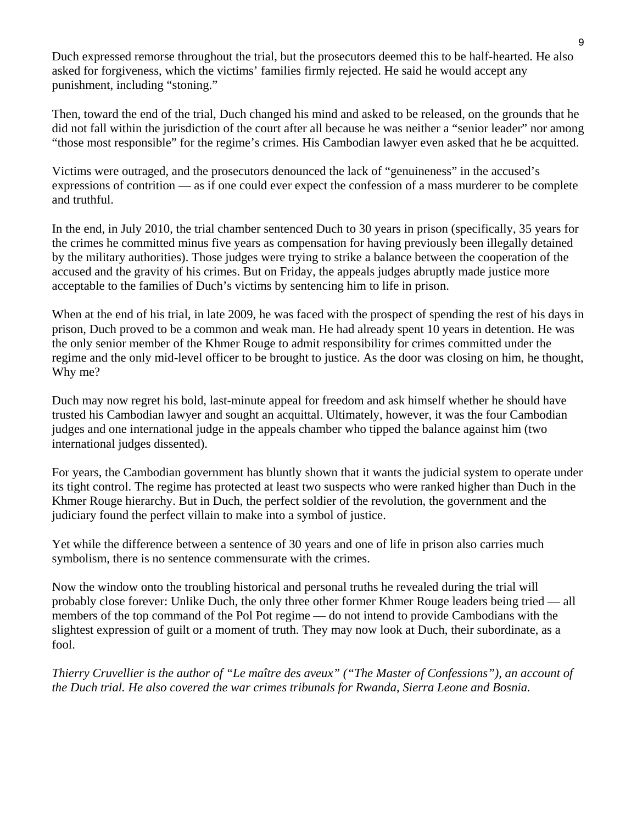Duch expressed remorse throughout the trial, but the prosecutors deemed this to be half-hearted. He also asked for forgiveness, which the victims' families firmly rejected. He said he would accept any punishment, including "stoning."

Then, toward the end of the trial, Duch changed his mind and asked to be released, on the grounds that he did not fall within the jurisdiction of the court after all because he was neither a "senior leader" nor among "those most responsible" for the regime's crimes. His Cambodian lawyer even asked that he be acquitted.

Victims were outraged, and the prosecutors denounced the lack of "genuineness" in the accused's expressions of contrition — as if one could ever expect the confession of a mass murderer to be complete and truthful.

In the end, in July 2010, the trial chamber sentenced Duch to 30 years in prison (specifically, 35 years for the crimes he committed minus five years as compensation for having previously been illegally detained by the military authorities). Those judges were trying to strike a balance between the cooperation of the accused and the gravity of his crimes. But on Friday, the appeals judges abruptly made justice more acceptable to the families of Duch's victims by sentencing him to life in prison.

When at the end of his trial, in late 2009, he was faced with the prospect of spending the rest of his days in prison, Duch proved to be a common and weak man. He had already spent 10 years in detention. He was the only senior member of the Khmer Rouge to admit responsibility for crimes committed under the regime and the only mid-level officer to be brought to justice. As the door was closing on him, he thought, Why me?

Duch may now regret his bold, last-minute appeal for freedom and ask himself whether he should have trusted his Cambodian lawyer and sought an acquittal. Ultimately, however, it was the four Cambodian judges and one international judge in the appeals chamber who tipped the balance against him (two international judges dissented).

For years, the Cambodian government has bluntly shown that it wants the judicial system to operate under its tight control. The regime has protected at least two suspects who were ranked higher than Duch in the Khmer Rouge hierarchy. But in Duch, the perfect soldier of the revolution, the government and the judiciary found the perfect villain to make into a symbol of justice.

Yet while the difference between a sentence of 30 years and one of life in prison also carries much symbolism, there is no sentence commensurate with the crimes.

Now the window onto the troubling historical and personal truths he revealed during the trial will probably close forever: Unlike Duch, the only three other former Khmer Rouge leaders being tried — all members of the top command of the Pol Pot regime — do not intend to provide Cambodians with the slightest expression of guilt or a moment of truth. They may now look at Duch, their subordinate, as a fool.

*Thierry Cruvellier is the author of "Le maître des aveux" ("The Master of Confessions"), an account of the Duch trial. He also covered the war crimes tribunals for Rwanda, Sierra Leone and Bosnia.*